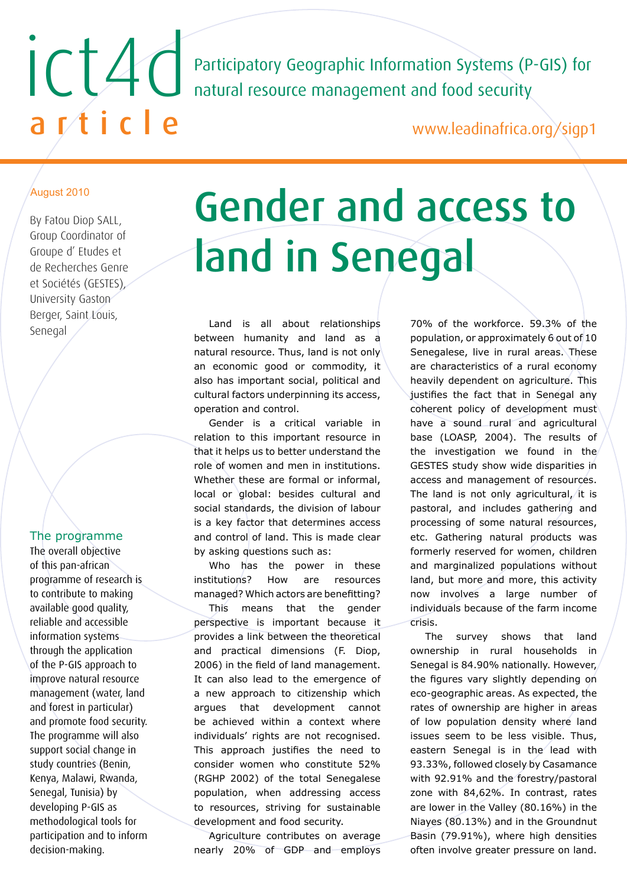Participatory Geographic Information Systems (P-GIS) for natural resource management and food security

www.leadinafrica.org/sigp1

## August 2010

By Fatou Diop SALL, Group Coordinator of Groupe d' Etudes et de Recherches Genre et Sociétés (GESTES), University Gaston Berger, Saint Louis, Senegal

ict4d

article

## The programme

The overall objective of this pan-african programme of research is to contribute to making available good quality, reliable and accessible information systems through the application of the P-GIS approach to improve natural resource management (water, land and forest in particular) and promote food security. The programme will also support social change in study countries (Benin, Kenya, Malawi, Rwanda, Senegal, Tunisia) by developing P-GIS as methodological tools for participation and to inform decision-making.

## Gender and access to land in Senegal

Land is all about relationships between humanity and land as a natural resource. Thus, land is not only an economic good or commodity, it also has important social, political and cultural factors underpinning its access, operation and control.

Gender is a critical variable in relation to this important resource in that it helps us to better understand the role of women and men in institutions. Whether these are formal or informal, local or global: besides cultural and social standards, the division of labour is a key factor that determines access and control of land. This is made clear by asking questions such as:

Who has the power in these institutions? How are resources managed? Which actors are benefitting?

This means that the gender perspective is important because it provides a link between the theoretical and practical dimensions (F. Diop, 2006) in the field of land management. It can also lead to the emergence of a new approach to citizenship which argues that development cannot be achieved within a context where individuals' rights are not recognised. This approach justifies the need to consider women who constitute 52% (RGHP 2002) of the total Senegalese population, when addressing access to resources, striving for sustainable development and food security.

Agriculture contributes on average nearly 20% of GDP and employs 70% of the workforce. 59.3% of the population, or approximately 6 out of 10 Senegalese, live in rural areas. These are characteristics of a rural economy heavily dependent on agriculture. This justifies the fact that in Senegal any coherent policy of development must have a sound rural and agricultural base (LOASP, 2004). The results of the investigation we found in the GESTES study show wide disparities in access and management of resources. The land is not only agricultural, it is pastoral, and includes gathering and processing of some natural resources, etc. Gathering natural products was formerly reserved for women, children and marginalized populations without land, but more and more, this activity now involves a large number of individuals because of the farm income crisis.

The survey shows that land ownership in rural households in Senegal is 84.90% nationally. However, the figures vary slightly depending on eco-geographic areas. As expected, the rates of ownership are higher in areas of low population density where land issues seem to be less visible. Thus, eastern Senegal is in the lead with 93.33%, followed closely by Casamance with 92.91% and the forestry/pastoral zone with 84,62%. In contrast, rates are lower in the Valley (80.16%) in the Niayes (80.13%) and in the Groundnut Basin (79.91%), where high densities often involve greater pressure on land.